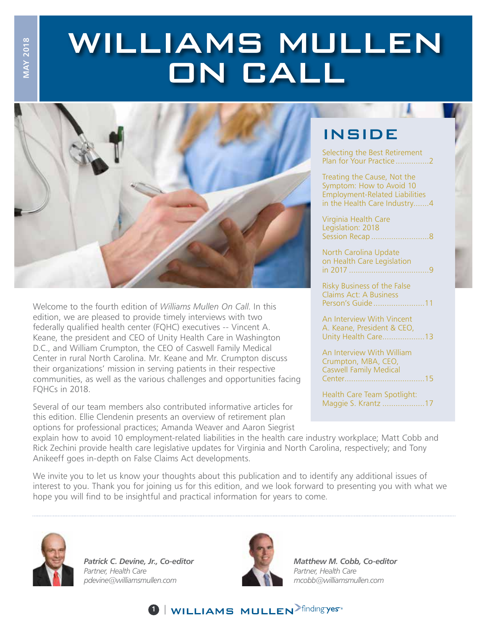# WILLIAMS MULLEN ON CALL



Welcome to the fourth edition of *Williams Mullen On Call*. In this edition, we are pleased to provide timely interviews with two federally qualified health center (FQHC) executives -- Vincent A. Keane, the president and CEO of Unity Health Care in Washington D.C., and William Crumpton, the CEO of Caswell Family Medical Center in rural North Carolina. Mr. Keane and Mr. Crumpton discuss their organizations' mission in serving patients in their respective communities, as well as the various challenges and opportunities facing FQHCs in 2018.

Several of our team members also contributed informative articles for this edition. Ellie Clendenin presents an overview of retirement plan options for professional practices; Amanda Weaver and Aaron Siegrist

### **INSIDE**

Selecting the Best Retirement Plan for Your Practice .................2

Treating the Cause, Not the Symptom: How to Avoid 10 Employment-Related Liabilities in the Health Care Industry.......4

Virginia Health Care Legislation: 2018 Session Recap ..........................8

North Carolina Update on Health Care Legislation in 2017 ....................................9

Risky Business of the False Claims Act: A Business Person's Guide .......................11

An Interview With Vincent A. Keane, President & CEO, Unity Health Care...................13

An Interview With William Crumpton, MBA, CEO, Caswell Family Medical Center....................................15

Health Care Team Spotlight: Maggie S. Krantz ...................17

explain how to avoid 10 employment-related liabilities in the health care industry workplace; Matt Cobb and Rick Zechini provide health care legislative updates for Virginia and North Carolina, respectively; and Tony Anikeeff goes in-depth on False Claims Act developments.

We invite you to let us know your thoughts about this publication and to identify any additional issues of interest to you. Thank you for joining us for this edition, and we look forward to presenting you with what we hope you will find to be insightful and practical information for years to come.



**MAY 2018 MAY 2018**

> *Patrick C. Devine, Jr., Co-editor Partner, Health Care pdevine@williamsmullen.com*



**1** | WILLIAMS MULLEN >finding yes<sup>®</sup>

*Matthew M. Cobb, Co-editor Partner, Health Care mcobb@williamsmullen.com*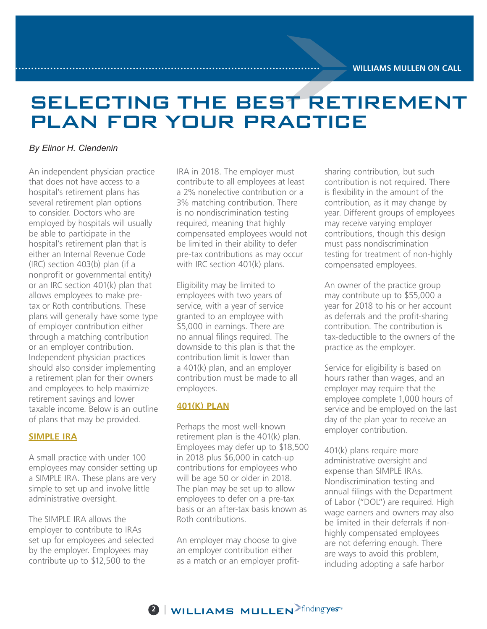# SELECTING THE BEST RETIREMENT PLAN FOR YOUR PRACTICE

#### *By Elinor H. Clendenin*

An independent physician practice that does not have access to a hospital's retirement plans has several retirement plan options to consider. Doctors who are employed by hospitals will usually be able to participate in the hospital's retirement plan that is either an Internal Revenue Code (IRC) section 403(b) plan (if a nonprofit or governmental entity) or an IRC section 401(k) plan that allows employees to make pretax or Roth contributions. These plans will generally have some type of employer contribution either through a matching contribution or an employer contribution. Independent physician practices should also consider implementing a retirement plan for their owners and employees to help maximize retirement savings and lower taxable income. Below is an outline of plans that may be provided.

#### **SIMPLE IRA**

A small practice with under 100 employees may consider setting up a SIMPLE IRA. These plans are very simple to set up and involve little administrative oversight.

The SIMPLE IRA allows the employer to contribute to IRAs set up for employees and selected by the employer. Employees may contribute up to \$12,500 to the

IRA in 2018. The employer must contribute to all employees at least a 2% nonelective contribution or a 3% matching contribution. There is no nondiscrimination testing required, meaning that highly compensated employees would not be limited in their ability to defer pre-tax contributions as may occur with IRC section 401(k) plans.

Eligibility may be limited to employees with two years of service, with a year of service granted to an employee with \$5,000 in earnings. There are no annual filings required. The downside to this plan is that the contribution limit is lower than a 401(k) plan, and an employer contribution must be made to all employees.

#### **401(K) PLAN**

Perhaps the most well-known retirement plan is the 401(k) plan. Employees may defer up to \$18,500 in 2018 plus \$6,000 in catch-up contributions for employees who will be age 50 or older in 2018. The plan may be set up to allow employees to defer on a pre-tax basis or an after-tax basis known as Roth contributions.

An employer may choose to give an employer contribution either as a match or an employer profitsharing contribution, but such contribution is not required. There is flexibility in the amount of the contribution, as it may change by year. Different groups of employees may receive varying employer contributions, though this design must pass nondiscrimination testing for treatment of non-highly compensated employees.

An owner of the practice group may contribute up to \$55,000 a year for 2018 to his or her account as deferrals and the profit-sharing contribution. The contribution is tax-deductible to the owners of the practice as the employer.

Service for eligibility is based on hours rather than wages, and an employer may require that the employee complete 1,000 hours of service and be employed on the last day of the plan year to receive an employer contribution.

401(k) plans require more administrative oversight and expense than SIMPLE IRAs. Nondiscrimination testing and annual filings with the Department of Labor ("DOL") are required. High wage earners and owners may also be limited in their deferrals if nonhighly compensated employees are not deferring enough. There are ways to avoid this problem, including adopting a safe harbor

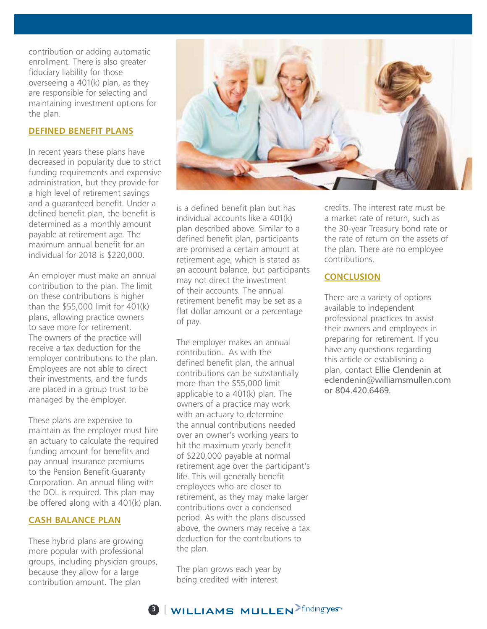contribution or adding automatic enrollment. There is also greater fiduciary liability for those overseeing a 401(k) plan, as they are responsible for selecting and maintaining investment options for the plan.

#### **DEFINED BENEFIT PLANS**

In recent years these plans have decreased in popularity due to strict funding requirements and expensive administration, but they provide for a high level of retirement savings and a guaranteed benefit. Under a defined benefit plan, the benefit is determined as a monthly amount payable at retirement age. The maximum annual benefit for an individual for 2018 is \$220,000.

An employer must make an annual contribution to the plan. The limit on these contributions is higher than the \$55,000 limit for 401(k) plans, allowing practice owners to save more for retirement. The owners of the practice will receive a tax deduction for the employer contributions to the plan. Employees are not able to direct their investments, and the funds are placed in a group trust to be managed by the employer.

These plans are expensive to maintain as the employer must hire an actuary to calculate the required funding amount for benefits and pay annual insurance premiums to the Pension Benefit Guaranty Corporation. An annual filing with the DOL is required. This plan may be offered along with a 401(k) plan.

#### **CASH BALANCE PLAN**

These hybrid plans are growing more popular with professional groups, including physician groups, because they allow for a large contribution amount. The plan



is a defined benefit plan but has individual accounts like a 401(k) plan described above. Similar to a defined benefit plan, participants are promised a certain amount at retirement age, which is stated as an account balance, but participants may not direct the investment of their accounts. The annual retirement benefit may be set as a flat dollar amount or a percentage of pay.

The employer makes an annual contribution. As with the defined benefit plan, the annual contributions can be substantially more than the \$55,000 limit applicable to a 401(k) plan. The owners of a practice may work with an actuary to determine the annual contributions needed over an owner's working years to hit the maximum yearly benefit of \$220,000 payable at normal retirement age over the participant's life. This will generally benefit employees who are closer to retirement, as they may make larger contributions over a condensed period. As with the plans discussed above, the owners may receive a tax deduction for the contributions to the plan.

The plan grows each year by being credited with interest

credits. The interest rate must be a market rate of return, such as the 30-year Treasury bond rate or the rate of return on the assets of the plan. There are no employee contributions.

#### **CONCLUSION**

There are a variety of options available to independent professional practices to assist their owners and employees in preparing for retirement. If you have any questions regarding this article or establishing a plan, contact Ellie Clendenin at eclendenin@williamsmullen.com or 804.420.6469.

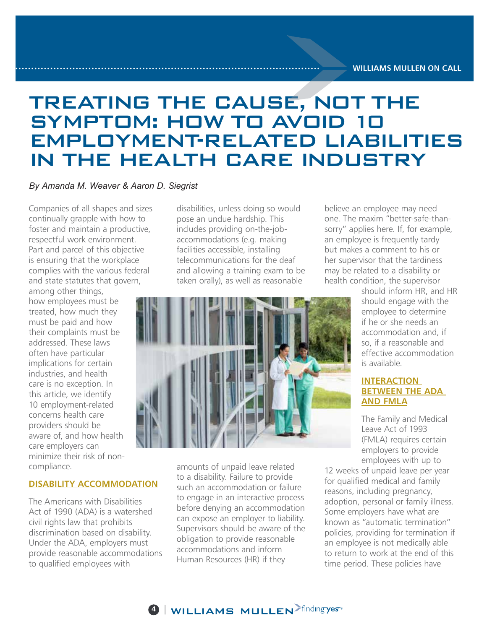# TREATING THE CAUSE, NOT THE SYMPTOM: HOW TO AVOID 10 EMPLOYMENT-RELATED LIABILITIES IN THE HEALTH CARE INDUSTRY

#### *By Amanda M. Weaver & Aaron D. Siegrist*

Companies of all shapes and sizes continually grapple with how to foster and maintain a productive, respectful work environment. Part and parcel of this objective is ensuring that the workplace complies with the various federal and state statutes that govern,

among other things, how employees must be treated, how much they must be paid and how their complaints must be addressed. These laws often have particular implications for certain industries, and health care is no exception. In this article, we identify 10 employment-related concerns health care providers should be aware of, and how health care employers can minimize their risk of noncompliance.

#### **DISABILITY ACCOMMODATION**

The Americans with Disabilities Act of 1990 (ADA) is a watershed civil rights law that prohibits discrimination based on disability. Under the ADA, employers must provide reasonable accommodations to qualified employees with

disabilities, unless doing so would pose an undue hardship. This includes providing on-the-jobaccommodations (e.g. making facilities accessible, installing telecommunications for the deaf and allowing a training exam to be taken orally), as well as reasonable



amounts of unpaid leave related to a disability. Failure to provide such an accommodation or failure to engage in an interactive process before denying an accommodation can expose an employer to liability. Supervisors should be aware of the obligation to provide reasonable accommodations and inform Human Resources (HR) if they

believe an employee may need one. The maxim "better-safe-thansorry" applies here. If, for example, an employee is frequently tardy but makes a comment to his or her supervisor that the tardiness may be related to a disability or health condition, the supervisor

> should inform HR, and HR should engage with the employee to determine if he or she needs an accommodation and, if so, if a reasonable and effective accommodation is available.

#### **INTERACTION BETWEEN THE ADA AND FMLA**

The Family and Medical Leave Act of 1993 (FMLA) requires certain employers to provide employees with up to

12 weeks of unpaid leave per year for qualified medical and family reasons, including pregnancy, adoption, personal or family illness. Some employers have what are known as "automatic termination" policies, providing for termination if an employee is not medically able to return to work at the end of this time period. These policies have

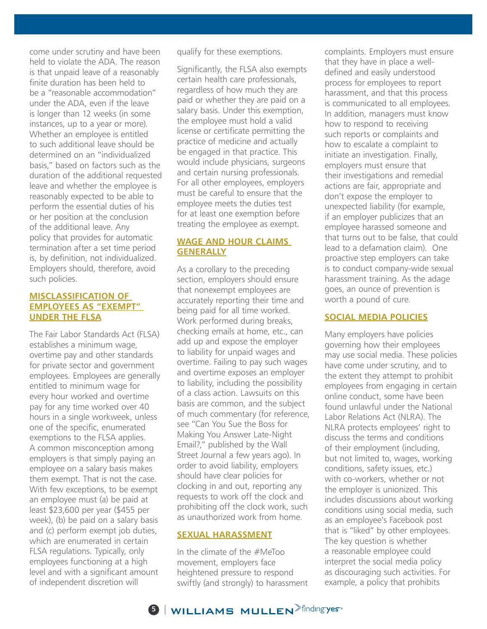come under scrutiny and have been held to violate the ADA. The reason is that unpaid leave of a reasonably finite duration has been held to be a "reasonable accommodation" under the ADA, even if the leave is longer than 12 weeks (in some instances, up to a year or more). Whether an employee is entitled to such additional leave should be determined on an "individualized basis," based on factors such as the duration of the additional requested leave and whether the employee is reasonably expected to be able to perform the essential duties of his or her position at the conclusion of the additional leave. Any policy that provides for automatic termination after a set time period is, by definition, not individualized. Employers should, therefore, avoid such policies.

#### **MISCLASSIFICATION OF EMPLOYEES AS "EXEMPT" UNDER THE FLSA**

The Fair Labor Standards Act (FLSA) establishes a minimum wage, overtime pay and other standards for private sector and government employees. Employees are generally entitled to minimum wage for every hour worked and overtime pay for any time worked over 40 hours in a single workweek, unless one of the specific, enumerated exemptions to the FLSA applies. A common misconception among employers is that simply paying an employee on a salary basis makes them exempt. That is not the case. With few exceptions, to be exempt an employee must (a) be paid at least \$23,600 per year (\$455 per week), (b) be paid on a salary basis and (c) perform exempt job duties, which are enumerated in certain FLSA regulations. Typically, only employees functioning at a high level and with a significant amount of independent discretion will

qualify for these exemptions.

Significantly, the FLSA also exempts certain health care professionals, regardless of how much they are paid or whether they are paid on a salary basis. Under this exemption, the employee must hold a valid license or certificate permitting the practice of medicine and actually be engaged in that practice. This would include physicians, surgeons and certain nursing professionals. For all other employees, employers must be careful to ensure that the employee meets the duties test for at least one exemption before treating the employee as exempt.

#### **WAGE AND HOUR CLAIMS GENERALLY**

As a corollary to the preceding section, employers should ensure that nonexempt employees are accurately reporting their time and being paid for all time worked. Work performed during breaks, checking emails at home, etc., can add up and expose the employer to liability for unpaid wages and overtime. Failing to pay such wages and overtime exposes an employer to liability, including the possibility of a class action. Lawsuits on this basis are common, and the subject of much commentary (for reference, see "Can You Sue the Boss for Making You Answer Late-Night Email?," published by the Wall Street Journal a few years ago). In order to avoid liability, employers should have clear policies for clocking in and out, reporting any requests to work off the clock and prohibiting off the clock work, such as unauthorized work from home.

#### **SEXUAL HARASSMENT**

In the climate of the #MeToo movement, employers face heightened pressure to respond swiftly (and strongly) to harassment complaints. Employers must ensure that they have in place a welldefined and easily understood process for employees to report harassment, and that this process is communicated to all employees. In addition, managers must know how to respond to receiving such reports or complaints and how to escalate a complaint to initiate an investigation. Finally, employers must ensure that their investigations and remedial actions are fair, appropriate and don't expose the employer to unexpected liability (for example, if an employer publicizes that an employee harassed someone and that turns out to be false, that could lead to a defamation claim). One proactive step employers can take is to conduct company-wide sexual harassment training. As the adage goes, an ounce of prevention is worth a pound of cure.

#### **SOCIAL MEDIA POLICIES**

Many employers have policies governing how their employees may use social media. These policies have come under scrutiny, and to the extent they attempt to prohibit employees from engaging in certain online conduct, some have been found unlawful under the National Labor Relations Act (NLRA). The NLRA protects employees' right to discuss the terms and conditions of their employment (including, but not limited to, wages, working conditions, safety issues, etc.) with co-workers, whether or not the employer is unionized. This includes discussions about working conditions using social media, such as an employee's Facebook post that is "liked" by other employees. The key question is whether a reasonable employee could interpret the social media policy as discouraging such activities. For example, a policy that prohibits

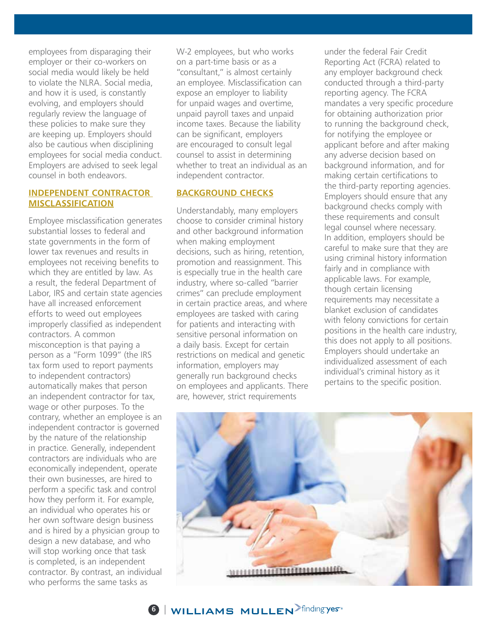employees from disparaging their employer or their co-workers on social media would likely be held to violate the NLRA. Social media, and how it is used, is constantly evolving, and employers should regularly review the language of these policies to make sure they are keeping up. Employers should also be cautious when disciplining employees for social media conduct. Employers are advised to seek legal counsel in both endeavors.

#### **INDEPENDENT CONTRACTOR MISCLASSIFICATION**

Employee misclassification generates substantial losses to federal and state governments in the form of lower tax revenues and results in employees not receiving benefits to which they are entitled by law. As a result, the federal Department of Labor, IRS and certain state agencies have all increased enforcement efforts to weed out employees improperly classified as independent contractors. A common misconception is that paying a person as a "Form 1099" (the IRS tax form used to report payments to independent contractors) automatically makes that person an independent contractor for tax, wage or other purposes. To the contrary, whether an employee is an independent contractor is governed by the nature of the relationship in practice. Generally, independent contractors are individuals who are economically independent, operate their own businesses, are hired to perform a specific task and control how they perform it. For example, an individual who operates his or her own software design business and is hired by a physician group to design a new database, and who will stop working once that task is completed, is an independent contractor. By contrast, an individual who performs the same tasks as

W-2 employees, but who works on a part-time basis or as a "consultant," is almost certainly an employee. Misclassification can expose an employer to liability for unpaid wages and overtime, unpaid payroll taxes and unpaid income taxes. Because the liability can be significant, employers are encouraged to consult legal counsel to assist in determining whether to treat an individual as an independent contractor.

#### **BACKGROUND CHECKS**

Understandably, many employers choose to consider criminal history and other background information when making employment decisions, such as hiring, retention, promotion and reassignment. This is especially true in the health care industry, where so-called "barrier crimes" can preclude employment in certain practice areas, and where employees are tasked with caring for patients and interacting with sensitive personal information on a daily basis. Except for certain restrictions on medical and genetic information, employers may generally run background checks on employees and applicants. There are, however, strict requirements

under the federal Fair Credit Reporting Act (FCRA) related to any employer background check conducted through a third-party reporting agency. The FCRA mandates a very specific procedure for obtaining authorization prior to running the background check, for notifying the employee or applicant before and after making any adverse decision based on background information, and for making certain certifications to the third-party reporting agencies. Employers should ensure that any background checks comply with these requirements and consult legal counsel where necessary. In addition, employers should be careful to make sure that they are using criminal history information fairly and in compliance with applicable laws. For example, though certain licensing requirements may necessitate a blanket exclusion of candidates with felony convictions for certain positions in the health care industry, this does not apply to all positions. Employers should undertake an individualized assessment of each individual's criminal history as it pertains to the specific position.



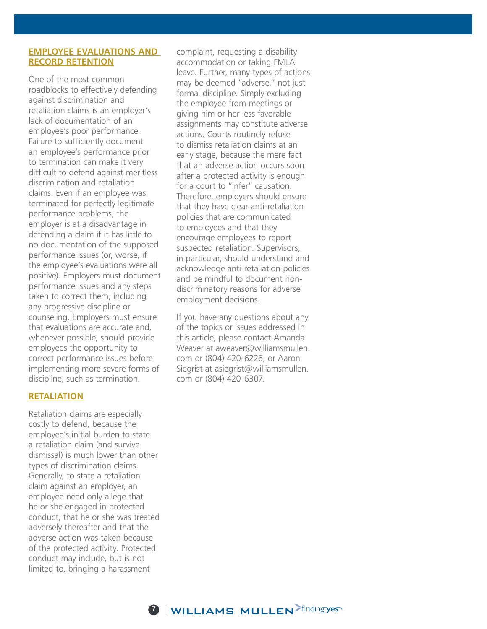#### **EMPLOYEE EVALUATIONS AND RECORD RETENTION**

One of the most common roadblocks to effectively defending against discrimination and retaliation claims is an employer's lack of documentation of an employee's poor performance. Failure to sufficiently document an employee's performance prior to termination can make it very difficult to defend against meritless discrimination and retaliation claims. Even if an employee was terminated for perfectly legitimate performance problems, the employer is at a disadvantage in defending a claim if it has little to no documentation of the supposed performance issues (or, worse, if the employee's evaluations were all positive). Employers must document performance issues and any steps taken to correct them, including any progressive discipline or counseling. Employers must ensure that evaluations are accurate and, whenever possible, should provide employees the opportunity to correct performance issues before implementing more severe forms of discipline, such as termination.

#### **RETALIATION**

Retaliation claims are especially costly to defend, because the employee's initial burden to state a retaliation claim (and survive dismissal) is much lower than other types of discrimination claims. Generally, to state a retaliation claim against an employer, an employee need only allege that he or she engaged in protected conduct, that he or she was treated adversely thereafter and that the adverse action was taken because of the protected activity. Protected conduct may include, but is not limited to, bringing a harassment

complaint, requesting a disability accommodation or taking FMLA leave. Further, many types of actions may be deemed "adverse," not just formal discipline. Simply excluding the employee from meetings or giving him or her less favorable assignments may constitute adverse actions. Courts routinely refuse to dismiss retaliation claims at an early stage, because the mere fact that an adverse action occurs soon after a protected activity is enough for a court to "infer" causation. Therefore, employers should ensure that they have clear anti-retaliation policies that are communicated to employees and that they encourage employees to report suspected retaliation. Supervisors, in particular, should understand and acknowledge anti-retaliation policies and be mindful to document nondiscriminatory reasons for adverse employment decisions.

If you have any questions about any of the topics or issues addressed in this article, please contact Amanda Weaver at aweaver@williamsmullen. com or (804) 420-6226, or Aaron Siegrist at asiegrist@williamsmullen. com or (804) 420-6307.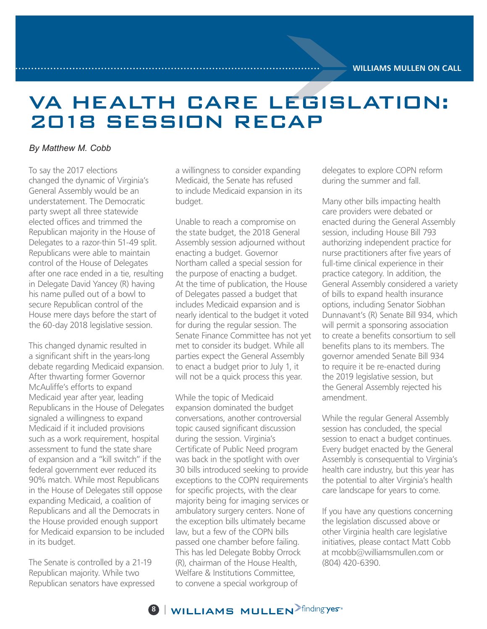# VA HEALTH CARE LEGISLATION: 2018 SESSION RECAP

#### *By Matthew M. Cobb*

To say the 2017 elections changed the dynamic of Virginia's General Assembly would be an understatement. The Democratic party swept all three statewide elected offices and trimmed the Republican majority in the House of Delegates to a razor-thin 51-49 split. Republicans were able to maintain control of the House of Delegates after one race ended in a tie, resulting in Delegate David Yancey (R) having his name pulled out of a bowl to secure Republican control of the House mere days before the start of the 60-day 2018 legislative session.

This changed dynamic resulted in a significant shift in the years-long debate regarding Medicaid expansion. After thwarting former Governor McAuliffe's efforts to expand Medicaid year after year, leading Republicans in the House of Delegates signaled a willingness to expand Medicaid if it included provisions such as a work requirement, hospital assessment to fund the state share of expansion and a "kill switch" if the federal government ever reduced its 90% match. While most Republicans in the House of Delegates still oppose expanding Medicaid, a coalition of Republicans and all the Democrats in the House provided enough support for Medicaid expansion to be included in its budget.

The Senate is controlled by a 21-19 Republican majority. While two Republican senators have expressed a willingness to consider expanding Medicaid, the Senate has refused to include Medicaid expansion in its budget.

Unable to reach a compromise on the state budget, the 2018 General Assembly session adjourned without enacting a budget. Governor Northam called a special session for the purpose of enacting a budget. At the time of publication, the House of Delegates passed a budget that includes Medicaid expansion and is nearly identical to the budget it voted for during the regular session. The Senate Finance Committee has not yet met to consider its budget. While all parties expect the General Assembly to enact a budget prior to July 1, it will not be a quick process this year.

While the topic of Medicaid expansion dominated the budget conversations, another controversial topic caused significant discussion during the session. Virginia's Certificate of Public Need program was back in the spotlight with over 30 bills introduced seeking to provide exceptions to the COPN requirements for specific projects, with the clear majority being for imaging services or ambulatory surgery centers. None of the exception bills ultimately became law, but a few of the COPN bills passed one chamber before failing. This has led Delegate Bobby Orrock (R), chairman of the House Health, Welfare & Institutions Committee, to convene a special workgroup of

delegates to explore COPN reform during the summer and fall.

Many other bills impacting health care providers were debated or enacted during the General Assembly session, including House Bill 793 authorizing independent practice for nurse practitioners after five years of full-time clinical experience in their practice category. In addition, the General Assembly considered a variety of bills to expand health insurance options, including Senator Siobhan Dunnavant's (R) Senate Bill 934, which will permit a sponsoring association to create a benefits consortium to sell benefits plans to its members. The governor amended Senate Bill 934 to require it be re-enacted during the 2019 legislative session, but the General Assembly rejected his amendment.

While the regular General Assembly session has concluded, the special session to enact a budget continues. Every budget enacted by the General Assembly is consequential to Virginia's health care industry, but this year has the potential to alter Virginia's health care landscape for years to come.

If you have any questions concerning the legislation discussed above or other Virginia health care legislative initiatives, please contact Matt Cobb at mcobb@williamsmullen.com or (804) 420-6390.

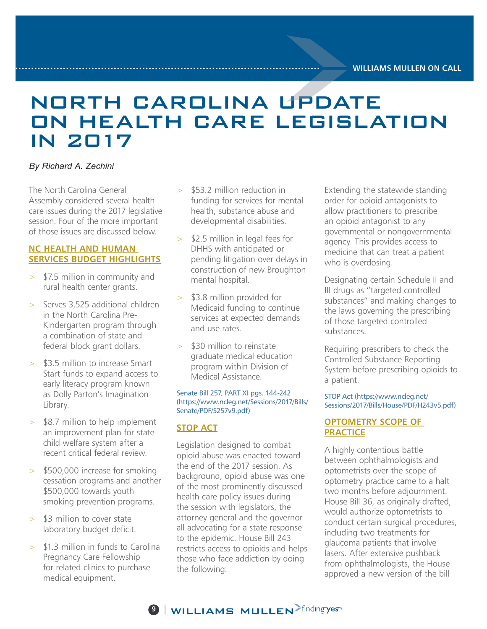### NORTH CAROLINA UPDATE ON HEALTH CARE LEGISLATION IN 2017

#### *By Richard A. Zechini*

The North Carolina General Assembly considered several health care issues during the 2017 legislative session. Four of the more important of those issues are discussed below.

#### **NC HEALTH AND HUMAN SERVICES BUDGET HIGHLIGHTS**

- > \$7.5 million in community and rural health center grants.
- $>$  Serves 3,525 additional children in the North Carolina Pre-Kindergarten program through a combination of state and federal block grant dollars.
- > \$3.5 million to increase Smart Start funds to expand access to early literacy program known as Dolly Parton's Imagination Library.
- > \$8.7 million to help implement an improvement plan for state child welfare system after a recent critical federal review.
- > \$500,000 increase for smoking cessation programs and another \$500,000 towards youth smoking prevention programs.
- > \$3 million to cover state laboratory budget deficit.
- > \$1.3 million in funds to Carolina Pregnancy Care Fellowship for related clinics to purchase medical equipment.
- > \$53.2 million reduction in funding for services for mental health, substance abuse and developmental disabilities.
- > \$2.5 million in legal fees for DHHS with anticipated or pending litigation over delays in construction of new Broughton mental hospital.
- > \$3.8 million provided for Medicaid funding to continue services at expected demands and use rates.
- > \$30 million to reinstate graduate medical education program within Division of Medical Assistance.

#### Senate Bill 257, PART XI pgs. 144-242 (https://www.ncleg.net/Sessions/2017/Bills/ Senate/PDF/S257v9.pdf)

#### **STOP ACT**

Legislation designed to combat opioid abuse was enacted toward the end of the 2017 session. As background, opioid abuse was one of the most prominently discussed health care policy issues during the session with legislators, the attorney general and the governor all advocating for a state response to the epidemic. House Bill 243 restricts access to opioids and helps those who face addiction by doing the following:

Extending the statewide standing order for opioid antagonists to allow practitioners to prescribe an opioid antagonist to any governmental or nongovernmental agency. This provides access to medicine that can treat a patient who is overdosing.

Designating certain Schedule II and III drugs as "targeted controlled substances" and making changes to the laws governing the prescribing of those targeted controlled substances.

Requiring prescribers to check the Controlled Substance Reporting System before prescribing opioids to a patient.

STOP Act (https://www.ncleg.net/ Sessions/2017/Bills/House/PDF/H243v5.pdf)

#### **OPTOMETRY SCOPE OF PRACTICE**

A highly contentious battle between ophthalmologists and optometrists over the scope of optometry practice came to a halt two months before adjournment. House Bill 36, as originally drafted, would authorize optometrists to conduct certain surgical procedures, including two treatments for glaucoma patients that involve lasers. After extensive pushback from ophthalmologists, the House approved a new version of the bill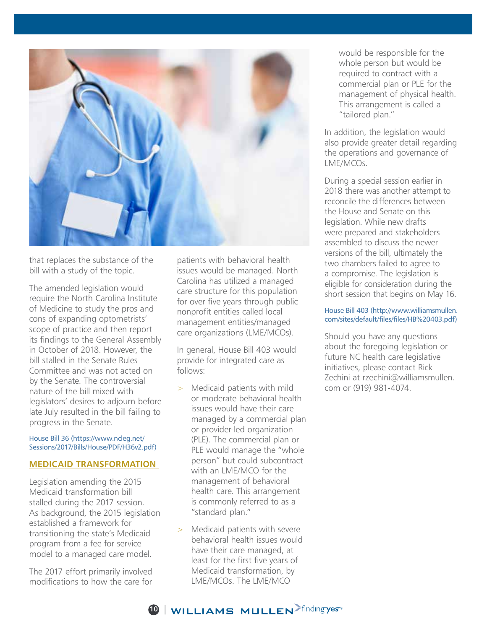

that replaces the substance of the bill with a study of the topic.

The amended legislation would require the North Carolina Institute of Medicine to study the pros and cons of expanding optometrists' scope of practice and then report its findings to the General Assembly in October of 2018. However, the bill stalled in the Senate Rules Committee and was not acted on by the Senate. The controversial nature of the bill mixed with legislators' desires to adjourn before late July resulted in the bill failing to progress in the Senate.

#### House Bill 36 (https://www.ncleg.net/ Sessions/2017/Bills/House/PDF/H36v2.pdf)

#### **MEDICAID TRANSFORMATION**

Legislation amending the 2015 Medicaid transformation bill stalled during the 2017 session. As background, the 2015 legislation established a framework for transitioning the state's Medicaid program from a fee for service model to a managed care model.

The 2017 effort primarily involved modifications to how the care for patients with behavioral health issues would be managed. North Carolina has utilized a managed care structure for this population for over five years through public nonprofit entities called local management entities/managed care organizations (LME/MCOs).

In general, House Bill 403 would provide for integrated care as follows:

- > Medicaid patients with mild or moderate behavioral health issues would have their care managed by a commercial plan or provider-led organization (PLE). The commercial plan or PLE would manage the "whole person" but could subcontract with an LME/MCO for the management of behavioral health care. This arrangement is commonly referred to as a "standard plan."
- Medicaid patients with severe behavioral health issues would have their care managed, at least for the first five years of Medicaid transformation, by LME/MCOs. The LME/MCO

would be responsible for the whole person but would be required to contract with a commercial plan or PLE for the management of physical health. This arrangement is called a "tailored plan."

In addition, the legislation would also provide greater detail regarding the operations and governance of LME/MCOs.

During a special session earlier in 2018 there was another attempt to reconcile the differences between the House and Senate on this legislation. While new drafts were prepared and stakeholders assembled to discuss the newer versions of the bill, ultimately the two chambers failed to agree to a compromise. The legislation is eligible for consideration during the short session that begins on May 16.

#### House Bill 403 (http://www.williamsmullen. com/sites/default/files/files/HB%20403.pdf)

Should you have any questions about the foregoing legislation or future NC health care legislative initiatives, please contact Rick Zechini at rzechini@williamsmullen. com or (919) 981-4074.

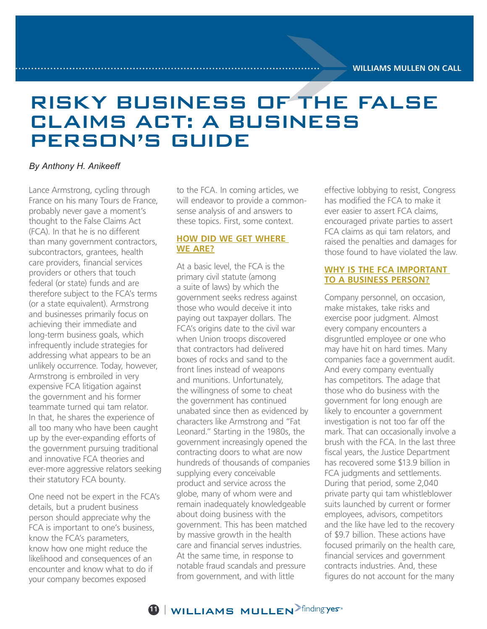### RISKY BUSINESS OF THE FALSE CLAIMS ACT: A BUSINESS PERSON'S GUIDE

#### *By Anthony H. Anikeeff*

Lance Armstrong, cycling through France on his many Tours de France, probably never gave a moment's thought to the False Claims Act (FCA). In that he is no different than many government contractors, subcontractors, grantees, health care providers, financial services providers or others that touch federal (or state) funds and are therefore subject to the FCA's terms (or a state equivalent). Armstrong and businesses primarily focus on achieving their immediate and long-term business goals, which infrequently include strategies for addressing what appears to be an unlikely occurrence. Today, however, Armstrong is embroiled in very expensive FCA litigation against the government and his former teammate turned qui tam relator. In that, he shares the experience of all too many who have been caught up by the ever-expanding efforts of the government pursuing traditional and innovative FCA theories and ever-more aggressive relators seeking their statutory FCA bounty.

One need not be expert in the FCA's details, but a prudent business person should appreciate why the FCA is important to one's business, know the FCA's parameters, know how one might reduce the likelihood and consequences of an encounter and know what to do if your company becomes exposed

to the FCA. In coming articles, we will endeavor to provide a commonsense analysis of and answers to these topics. First, some context.

#### **HOW DID WE GET WHERE WE ARE?**

At a basic level, the FCA is the primary civil statute (among a suite of laws) by which the government seeks redress against those who would deceive it into paying out taxpayer dollars. The FCA's origins date to the civil war when Union troops discovered that contractors had delivered boxes of rocks and sand to the front lines instead of weapons and munitions. Unfortunately, the willingness of some to cheat the government has continued unabated since then as evidenced by characters like Armstrong and "Fat Leonard." Starting in the 1980s, the government increasingly opened the contracting doors to what are now hundreds of thousands of companies supplying every conceivable product and service across the globe, many of whom were and remain inadequately knowledgeable about doing business with the government. This has been matched by massive growth in the health care and financial serves industries. At the same time, in response to notable fraud scandals and pressure from government, and with little

effective lobbying to resist, Congress has modified the FCA to make it ever easier to assert FCA claims, encouraged private parties to assert FCA claims as qui tam relators, and raised the penalties and damages for those found to have violated the law.

#### **WHY IS THE FCA IMPORTANT TO A BUSINESS PERSON?**

Company personnel, on occasion, make mistakes, take risks and exercise poor judgment. Almost every company encounters a disgruntled employee or one who may have hit on hard times. Many companies face a government audit. And every company eventually has competitors. The adage that those who do business with the government for long enough are likely to encounter a government investigation is not too far off the mark. That can occasionally involve a brush with the FCA. In the last three fiscal years, the Justice Department has recovered some \$13.9 billion in FCA judgments and settlements. During that period, some 2,040 private party qui tam whistleblower suits launched by current or former employees, advisors, competitors and the like have led to the recovery of \$9.7 billion. These actions have focused primarily on the health care, financial services and government contracts industries. And, these figures do not account for the many

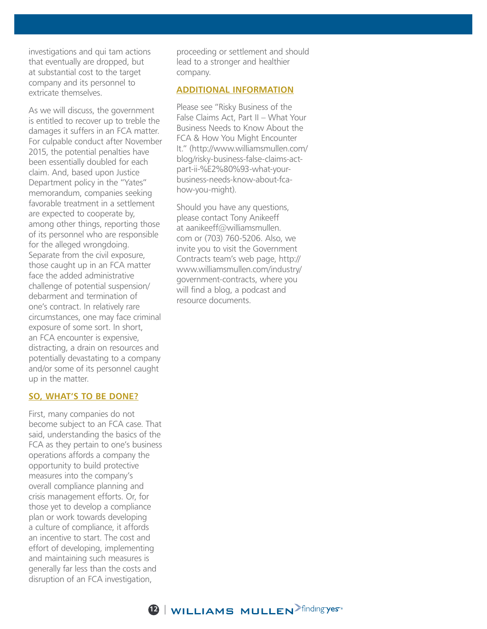investigations and qui tam actions that eventually are dropped, but at substantial cost to the target company and its personnel to extricate themselves.

As we will discuss, the government is entitled to recover up to treble the damages it suffers in an FCA matter. For culpable conduct after November 2015, the potential penalties have been essentially doubled for each claim. And, based upon Justice Department policy in the "Yates" memorandum, companies seeking favorable treatment in a settlement are expected to cooperate by, among other things, reporting those of its personnel who are responsible for the alleged wrongdoing. Separate from the civil exposure, those caught up in an FCA matter face the added administrative challenge of potential suspension/ debarment and termination of one's contract. In relatively rare circumstances, one may face criminal exposure of some sort. In short, an FCA encounter is expensive, distracting, a drain on resources and potentially devastating to a company and/or some of its personnel caught up in the matter.

#### **SO, WHAT'S TO BE DONE?**

First, many companies do not become subject to an FCA case. That said, understanding the basics of the FCA as they pertain to one's business operations affords a company the opportunity to build protective measures into the company's overall compliance planning and crisis management efforts. Or, for those yet to develop a compliance plan or work towards developing a culture of compliance, it affords an incentive to start. The cost and effort of developing, implementing and maintaining such measures is generally far less than the costs and disruption of an FCA investigation,

proceeding or settlement and should lead to a stronger and healthier company.

#### **ADDITIONAL INFORMATION**

Please see "Risky Business of the False Claims Act, Part II – What Your Business Needs to Know About the FCA & How You Might Encounter It." (http://www.williamsmullen.com/ blog/risky-business-false-claims-actpart-ii-%E2%80%93-what-yourbusiness-needs-know-about-fcahow-you-might).

Should you have any questions, please contact Tony Anikeeff at aanikeeff@williamsmullen. com or (703) 760-5206. Also, we invite you to visit the Government Contracts team's web page, http:// www.williamsmullen.com/industry/ government-contracts, where you will find a blog, a podcast and resource documents.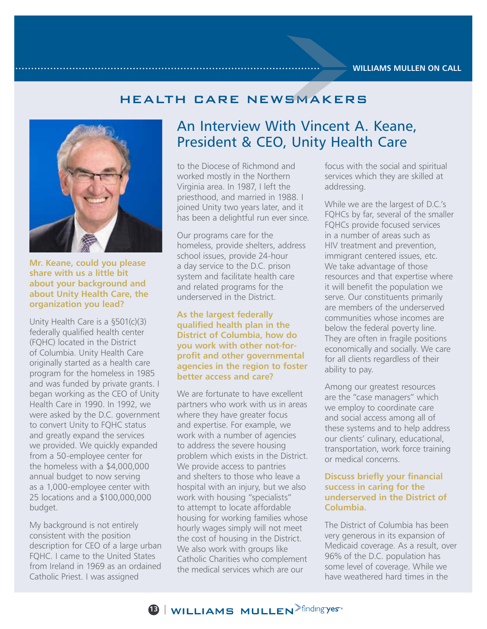### HEALTH CARE NEWSMAKERS



**Mr. Keane, could you please share with us a little bit about your background and about Unity Health Care, the organization you lead?** 

Unity Health Care is a §501(c)(3) federally qualified health center (FQHC) located in the District of Columbia. Unity Health Care originally started as a health care program for the homeless in 1985 and was funded by private grants. I began working as the CEO of Unity Health Care in 1990. In 1992, we were asked by the D.C. government to convert Unity to FQHC status and greatly expand the services we provided. We quickly expanded from a 50-employee center for the homeless with a \$4,000,000 annual budget to now serving as a 1,000-employee center with 25 locations and a \$100,000,000 budget.

My background is not entirely consistent with the position description for CEO of a large urban FQHC. I came to the United States from Ireland in 1969 as an ordained Catholic Priest. I was assigned

### An Interview With Vincent A. Keane, President & CEO, Unity Health Care

to the Diocese of Richmond and worked mostly in the Northern Virginia area. In 1987, I left the priesthood, and married in 1988. I joined Unity two years later, and it has been a delightful run ever since.

Our programs care for the homeless, provide shelters, address school issues, provide 24-hour a day service to the D.C. prison system and facilitate health care and related programs for the underserved in the District.

#### **As the largest federally qualified health plan in the District of Columbia, how do you work with other not-forprofit and other governmental agencies in the region to foster better access and care?**

We are fortunate to have excellent partners who work with us in areas where they have greater focus and expertise. For example, we work with a number of agencies to address the severe housing problem which exists in the District. We provide access to pantries and shelters to those who leave a hospital with an injury, but we also work with housing "specialists" to attempt to locate affordable housing for working families whose hourly wages simply will not meet the cost of housing in the District. We also work with groups like Catholic Charities who complement the medical services which are our

focus with the social and spiritual services which they are skilled at addressing.

While we are the largest of D.C.'s FQHCs by far, several of the smaller FQHCs provide focused services in a number of areas such as HIV treatment and prevention, immigrant centered issues, etc. We take advantage of those resources and that expertise where it will benefit the population we serve. Our constituents primarily are members of the underserved communities whose incomes are below the federal poverty line. They are often in fragile positions economically and socially. We care for all clients regardless of their ability to pay.

Among our greatest resources are the "case managers" which we employ to coordinate care and social access among all of these systems and to help address our clients' culinary, educational, transportation, work force training or medical concerns.

#### **Discuss briefly your financial success in caring for the underserved in the District of Columbia.**

The District of Columbia has been very generous in its expansion of Medicaid coverage. As a result, over 96% of the D.C. population has some level of coverage. While we have weathered hard times in the

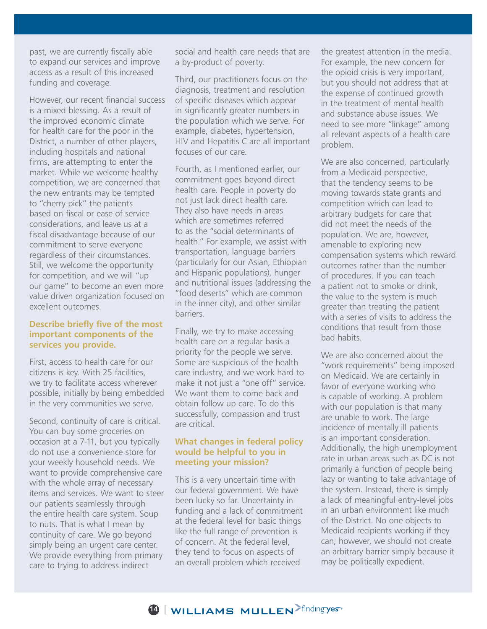past, we are currently fiscally able to expand our services and improve access as a result of this increased funding and coverage.

However, our recent financial success is a mixed blessing. As a result of the improved economic climate for health care for the poor in the District, a number of other players, including hospitals and national firms, are attempting to enter the market. While we welcome healthy competition, we are concerned that the new entrants may be tempted to "cherry pick" the patients based on fiscal or ease of service considerations, and leave us at a fiscal disadvantage because of our commitment to serve everyone regardless of their circumstances. Still, we welcome the opportunity for competition, and we will "up our game" to become an even more value driven organization focused on excellent outcomes.

#### **Describe briefly five of the most important components of the services you provide.**

First, access to health care for our citizens is key. With 25 facilities, we try to facilitate access wherever possible, initially by being embedded in the very communities we serve.

Second, continuity of care is critical. You can buy some groceries on occasion at a 7-11, but you typically do not use a convenience store for your weekly household needs. We want to provide comprehensive care with the whole array of necessary items and services. We want to steer our patients seamlessly through the entire health care system. Soup to nuts. That is what I mean by continuity of care. We go beyond simply being an urgent care center. We provide everything from primary care to trying to address indirect

social and health care needs that are a by-product of poverty.

Third, our practitioners focus on the diagnosis, treatment and resolution of specific diseases which appear in significantly greater numbers in the population which we serve. For example, diabetes, hypertension, HIV and Hepatitis C are all important focuses of our care.

Fourth, as I mentioned earlier, our commitment goes beyond direct health care. People in poverty do not just lack direct health care. They also have needs in areas which are sometimes referred to as the "social determinants of health." For example, we assist with transportation, language barriers (particularly for our Asian, Ethiopian and Hispanic populations), hunger and nutritional issues (addressing the "food deserts" which are common in the inner city), and other similar barriers.

Finally, we try to make accessing health care on a regular basis a priority for the people we serve. Some are suspicious of the health care industry, and we work hard to make it not just a "one off" service. We want them to come back and obtain follow up care. To do this successfully, compassion and trust are critical.

#### **What changes in federal policy would be helpful to you in meeting your mission?**

This is a very uncertain time with our federal government. We have been lucky so far. Uncertainty in funding and a lack of commitment at the federal level for basic things like the full range of prevention is of concern. At the federal level, they tend to focus on aspects of an overall problem which received

the greatest attention in the media. For example, the new concern for the opioid crisis is very important, but you should not address that at the expense of continued growth in the treatment of mental health and substance abuse issues. We need to see more "linkage" among all relevant aspects of a health care problem.

We are also concerned, particularly from a Medicaid perspective, that the tendency seems to be moving towards state grants and competition which can lead to arbitrary budgets for care that did not meet the needs of the population. We are, however, amenable to exploring new compensation systems which reward outcomes rather than the number of procedures. If you can teach a patient not to smoke or drink, the value to the system is much greater than treating the patient with a series of visits to address the conditions that result from those bad habits.

We are also concerned about the "work requirements" being imposed on Medicaid. We are certainly in favor of everyone working who is capable of working. A problem with our population is that many are unable to work. The large incidence of mentally ill patients is an important consideration. Additionally, the high unemployment rate in urban areas such as DC is not primarily a function of people being lazy or wanting to take advantage of the system. Instead, there is simply a lack of meaningful entry-level jobs in an urban environment like much of the District. No one objects to Medicaid recipients working if they can; however, we should not create an arbitrary barrier simply because it may be politically expedient.

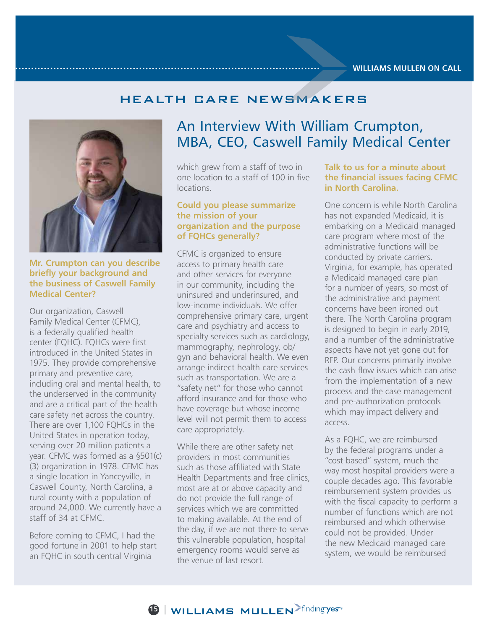### HEALTH CARE NEWSMAKERS



#### **Mr. Crumpton can you describe briefly your background and the business of Caswell Family Medical Center?**

Our organization, Caswell Family Medical Center (CFMC), is a federally qualified health center (FQHC). FQHCs were first introduced in the United States in 1975. They provide comprehensive primary and preventive care, including oral and mental health, to the underserved in the community and are a critical part of the health care safety net across the country. There are over 1,100 FQHCs in the United States in operation today, serving over 20 million patients a year. CFMC was formed as a §501(c) (3) organization in 1978. CFMC has a single location in Yanceyville, in Caswell County, North Carolina, a rural county with a population of around 24,000. We currently have a staff of 34 at CFMC.

Before coming to CFMC, I had the good fortune in 2001 to help start an FQHC in south central Virginia

### An Interview With William Crumpton, MBA, CEO, Caswell Family Medical Center

which grew from a staff of two in one location to a staff of 100 in five locations.

#### **Could you please summarize the mission of your organization and the purpose of FQHCs generally?**

CFMC is organized to ensure access to primary health care and other services for everyone in our community, including the uninsured and underinsured, and low-income individuals. We offer comprehensive primary care, urgent care and psychiatry and access to specialty services such as cardiology, mammography, nephrology, ob/ gyn and behavioral health. We even arrange indirect health care services such as transportation. We are a "safety net" for those who cannot afford insurance and for those who have coverage but whose income level will not permit them to access care appropriately.

While there are other safety net providers in most communities such as those affiliated with State Health Departments and free clinics, most are at or above capacity and do not provide the full range of services which we are committed to making available. At the end of the day, if we are not there to serve this vulnerable population, hospital emergency rooms would serve as the venue of last resort.

#### **Talk to us for a minute about the financial issues facing CFMC in North Carolina.**

One concern is while North Carolina has not expanded Medicaid, it is embarking on a Medicaid managed care program where most of the administrative functions will be conducted by private carriers. Virginia, for example, has operated a Medicaid managed care plan for a number of years, so most of the administrative and payment concerns have been ironed out there. The North Carolina program is designed to begin in early 2019, and a number of the administrative aspects have not yet gone out for RFP. Our concerns primarily involve the cash flow issues which can arise from the implementation of a new process and the case management and pre-authorization protocols which may impact delivery and access.

As a FQHC, we are reimbursed by the federal programs under a "cost-based" system, much the way most hospital providers were a couple decades ago. This favorable reimbursement system provides us with the fiscal capacity to perform a number of functions which are not reimbursed and which otherwise could not be provided. Under the new Medicaid managed care system, we would be reimbursed

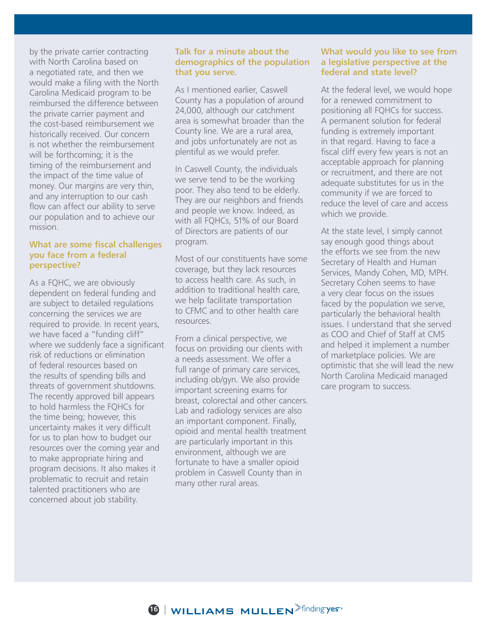by the private carrier contracting with North Carolina based on a negotiated rate, and then we would make a filing with the North Carolina Medicaid program to be reimbursed the difference between the private carrier payment and the cost-based reimbursement we historically received. Our concern is not whether the reimbursement will be forthcoming; it is the timing of the reimbursement and the impact of the time value of money. Our margins are very thin, and any interruption to our cash flow can affect our ability to serve our population and to achieve our mission.

#### **What are some fiscal challenges you face from a federal perspective?**

As a FQHC, we are obviously dependent on federal funding and are subject to detailed regulations concerning the services we are required to provide. In recent years, we have faced a "funding cliff" where we suddenly face a significant risk of reductions or elimination of federal resources based on the results of spending bills and threats of government shutdowns. The recently approved bill appears to hold harmless the FQHCs for the time being; however, this uncertainty makes it very difficult for us to plan how to budget our resources over the coming year and to make appropriate hiring and program decisions. It also makes it problematic to recruit and retain talented practitioners who are concerned about job stability.

#### **Talk for a minute about the demographics of the population that you serve.**

As I mentioned earlier, Caswell County has a population of around 24,000, although our catchment area is somewhat broader than the County line. We are a rural area, and jobs unfortunately are not as plentiful as we would prefer.

In Caswell County, the individuals we serve tend to be the working poor. They also tend to be elderly. They are our neighbors and friends and people we know. Indeed, as with all FQHCs, 51% of our Board of Directors are patients of our program.

Most of our constituents have some coverage, but they lack resources to access health care. As such, in addition to traditional health care, we help facilitate transportation to CFMC and to other health care resources.

From a clinical perspective, we focus on providing our clients with a needs assessment. We offer a full range of primary care services, including ob/gyn. We also provide important screening exams for breast, colorectal and other cancers. Lab and radiology services are also an important component. Finally, opioid and mental health treatment are particularly important in this environment, although we are fortunate to have a smaller opioid problem in Caswell County than in many other rural areas.

#### **What would you like to see from a legislative perspective at the federal and state level?**

At the federal level, we would hope for a renewed commitment to positioning all FQHCs for success. A permanent solution for federal funding is extremely important in that regard. Having to face a fiscal cliff every few years is not an acceptable approach for planning or recruitment, and there are not adequate substitutes for us in the community if we are forced to reduce the level of care and access which we provide.

At the state level, I simply cannot say enough good things about the efforts we see from the new Secretary of Health and Human Services, Mandy Cohen, MD, MPH. Secretary Cohen seems to have a very clear focus on the issues faced by the population we serve, particularly the behavioral health issues. I understand that she served as COO and Chief of Staff at CMS and helped it implement a number of marketplace policies. We are optimistic that she will lead the new North Carolina Medicaid managed care program to success.

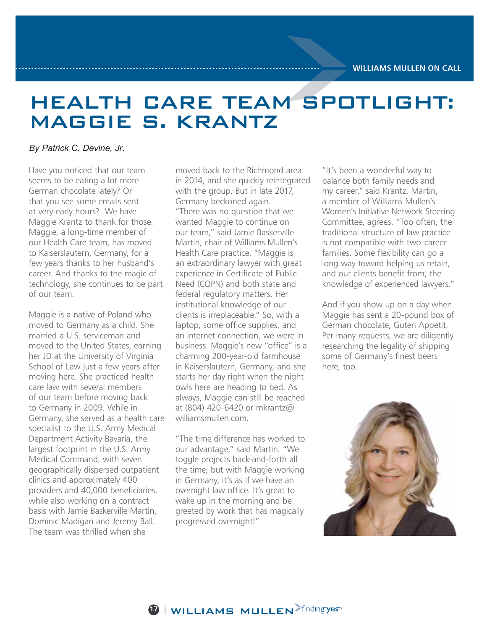# HEALTH CARE TEAM SPOTLIGHT: MAGGIE S. KRANTZ

#### *By Patrick C. Devine, Jr.*

Have you noticed that our team seems to be eating a lot more German chocolate lately? Or that you see some emails sent at very early hours? We have Maggie Krantz to thank for those. Maggie, a long-time member of our Health Care team, has moved to Kaiserslautern, Germany, for a few years thanks to her husband's career. And thanks to the magic of technology, she continues to be part of our team.

Maggie is a native of Poland who moved to Germany as a child. She married a U.S. serviceman and moved to the United States, earning her JD at the University of Virginia School of Law just a few years after moving here. She practiced health care law with several members of our team before moving back to Germany in 2009. While in Germany, she served as a health care specialist to the U.S. Army Medical Department Activity Bavaria, the largest footprint in the U.S. Army Medical Command, with seven geographically dispersed outpatient clinics and approximately 400 providers and 40,000 beneficiaries. while also working on a contract basis with Jamie Baskerville Martin, Dominic Madigan and Jeremy Ball. The team was thrilled when she

moved back to the Richmond area in 2014, and she quickly reintegrated with the group. But in late 2017, Germany beckoned again. "There was no question that we wanted Maggie to continue on our team," said Jamie Baskerville Martin, chair of Williams Mullen's Health Care practice. "Maggie is an extraordinary lawyer with great experience in Certificate of Public Need (COPN) and both state and federal regulatory matters. Her institutional knowledge of our clients is irreplaceable." So, with a laptop, some office supplies, and an internet connection, we were in business. Maggie's new "office" is a charming 200-year-old farmhouse in Kaiserslautern, Germany, and she starts her day right when the night owls here are heading to bed. As always, Maggie can still be reached at (804) 420-6420 or mkrantz@ williamsmullen.com.

"The time difference has worked to our advantage," said Martin. "We toggle projects back-and-forth all the time, but with Maggie working in Germany, it's as if we have an overnight law office. It's great to wake up in the morning and be greeted by work that has magically progressed overnight!"

"It's been a wonderful way to balance both family needs and my career," said Krantz. Martin, a member of Williams Mullen's Women's Initiative Network Steering Committee, agrees. "Too often, the traditional structure of law practice is not compatible with two-career families. Some flexibility can go a long way toward helping us retain, and our clients benefit from, the knowledge of experienced lawyers."

And if you show up on a day when Maggie has sent a 20-pound box of German chocolate, Guten Appetit. Per many requests, we are diligently researching the legality of shipping some of Germany's finest beers here, too.